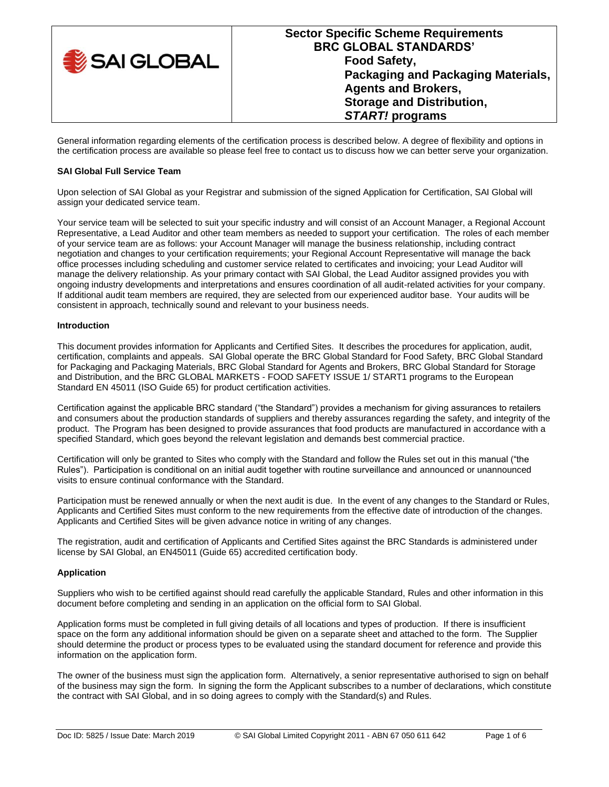| SAI GLOBAL | <b>BRC GLOBAL STANDARDS'</b><br><b>Food Safety,</b><br>Packaging and Packaging Materials,<br><b>Agents and Brokers,</b><br><b>Storage and Distribution,</b><br><b>START!</b> programs |
|------------|---------------------------------------------------------------------------------------------------------------------------------------------------------------------------------------|
|------------|---------------------------------------------------------------------------------------------------------------------------------------------------------------------------------------|

General information regarding elements of the certification process is described below. A degree of flexibility and options in the certification process are available so please feel free to contact us to discuss how we can better serve your organization.

## **SAI Global Full Service Team**

Upon selection of SAI Global as your Registrar and submission of the signed Application for Certification, SAI Global will assign your dedicated service team.

Your service team will be selected to suit your specific industry and will consist of an Account Manager, a Regional Account Representative, a Lead Auditor and other team members as needed to support your certification. The roles of each member of your service team are as follows: your Account Manager will manage the business relationship, including contract negotiation and changes to your certification requirements; your Regional Account Representative will manage the back office processes including scheduling and customer service related to certificates and invoicing; your Lead Auditor will manage the delivery relationship. As your primary contact with SAI Global, the Lead Auditor assigned provides you with ongoing industry developments and interpretations and ensures coordination of all audit-related activities for your company. If additional audit team members are required, they are selected from our experienced auditor base. Your audits will be consistent in approach, technically sound and relevant to your business needs.

## **Introduction**

This document provides information for Applicants and Certified Sites. It describes the procedures for application, audit, certification, complaints and appeals. SAI Global operate the BRC Global Standard for Food Safety, BRC Global Standard for Packaging and Packaging Materials, BRC Global Standard for Agents and Brokers, BRC Global Standard for Storage and Distribution, and the BRC GLOBAL MARKETS - FOOD SAFETY ISSUE 1/ START1 programs to the European Standard EN 45011 (ISO Guide 65) for product certification activities.

Certification against the applicable BRC standard ("the Standard") provides a mechanism for giving assurances to retailers and consumers about the production standards of suppliers and thereby assurances regarding the safety, and integrity of the product. The Program has been designed to provide assurances that food products are manufactured in accordance with a specified Standard, which goes beyond the relevant legislation and demands best commercial practice.

Certification will only be granted to Sites who comply with the Standard and follow the Rules set out in this manual ("the Rules"). Participation is conditional on an initial audit together with routine surveillance and announced or unannounced visits to ensure continual conformance with the Standard.

Participation must be renewed annually or when the next audit is due. In the event of any changes to the Standard or Rules, Applicants and Certified Sites must conform to the new requirements from the effective date of introduction of the changes. Applicants and Certified Sites will be given advance notice in writing of any changes.

The registration, audit and certification of Applicants and Certified Sites against the BRC Standards is administered under license by SAI Global, an EN45011 (Guide 65) accredited certification body.

## **Application**

Suppliers who wish to be certified against should read carefully the applicable Standard, Rules and other information in this document before completing and sending in an application on the official form to SAI Global.

Application forms must be completed in full giving details of all locations and types of production. If there is insufficient space on the form any additional information should be given on a separate sheet and attached to the form. The Supplier should determine the product or process types to be evaluated using the standard document for reference and provide this information on the application form.

The owner of the business must sign the application form. Alternatively, a senior representative authorised to sign on behalf of the business may sign the form. In signing the form the Applicant subscribes to a number of declarations, which constitute the contract with SAI Global, and in so doing agrees to comply with the Standard(s) and Rules.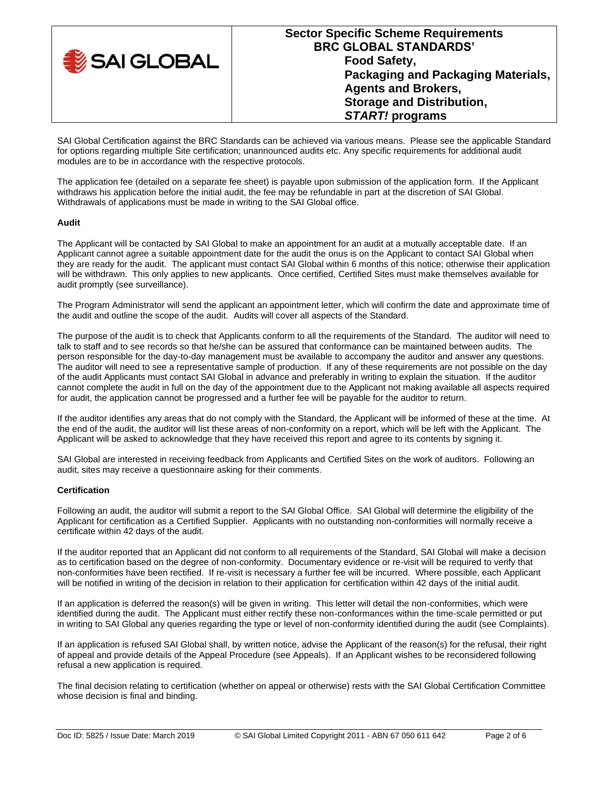| SAI GLOBAL | <b>Sector Specific Scheme Requirements</b><br><b>BRC GLOBAL STANDARDS'</b><br><b>Food Safety,</b><br>Packaging and Packaging Materials,<br><b>Agents and Brokers,</b><br><b>Storage and Distribution,</b><br><b>START!</b> programs |
|------------|-------------------------------------------------------------------------------------------------------------------------------------------------------------------------------------------------------------------------------------|
|------------|-------------------------------------------------------------------------------------------------------------------------------------------------------------------------------------------------------------------------------------|

SAI Global Certification against the BRC Standards can be achieved via various means. Please see the applicable Standard for options regarding multiple Site certification; unannounced audits etc. Any specific requirements for additional audit modules are to be in accordance with the respective protocols.

The application fee (detailed on a separate fee sheet) is payable upon submission of the application form. If the Applicant withdraws his application before the initial audit, the fee may be refundable in part at the discretion of SAI Global. Withdrawals of applications must be made in writing to the SAI Global office.

# **Audit**

The Applicant will be contacted by SAI Global to make an appointment for an audit at a mutually acceptable date. If an Applicant cannot agree a suitable appointment date for the audit the onus is on the Applicant to contact SAI Global when they are ready for the audit. The applicant must contact SAI Global within 6 months of this notice; otherwise their application will be withdrawn. This only applies to new applicants. Once certified, Certified Sites must make themselves available for audit promptly (see surveillance).

The Program Administrator will send the applicant an appointment letter, which will confirm the date and approximate time of the audit and outline the scope of the audit. Audits will cover all aspects of the Standard.

The purpose of the audit is to check that Applicants conform to all the requirements of the Standard. The auditor will need to talk to staff and to see records so that he/she can be assured that conformance can be maintained between audits. The person responsible for the day-to-day management must be available to accompany the auditor and answer any questions. The auditor will need to see a representative sample of production. If any of these requirements are not possible on the day of the audit Applicants must contact SAI Global in advance and preferably in writing to explain the situation. If the auditor cannot complete the audit in full on the day of the appointment due to the Applicant not making available all aspects required for audit, the application cannot be progressed and a further fee will be payable for the auditor to return.

If the auditor identifies any areas that do not comply with the Standard, the Applicant will be informed of these at the time. At the end of the audit, the auditor will list these areas of non-conformity on a report, which will be left with the Applicant. The Applicant will be asked to acknowledge that they have received this report and agree to its contents by signing it.

SAI Global are interested in receiving feedback from Applicants and Certified Sites on the work of auditors. Following an audit, sites may receive a questionnaire asking for their comments.

## **Certification**

Following an audit, the auditor will submit a report to the SAI Global Office. SAI Global will determine the eligibility of the Applicant for certification as a Certified Supplier. Applicants with no outstanding non-conformities will normally receive a certificate within 42 days of the audit.

If the auditor reported that an Applicant did not conform to all requirements of the Standard, SAI Global will make a decision as to certification based on the degree of non-conformity. Documentary evidence or re-visit will be required to verify that non-conformities have been rectified. If re-visit is necessary a further fee will be incurred. Where possible, each Applicant will be notified in writing of the decision in relation to their application for certification within 42 days of the initial audit.

If an application is deferred the reason(s) will be given in writing. This letter will detail the non-conformities, which were identified during the audit. The Applicant must either rectify these non-conformances within the time-scale permitted or put in writing to SAI Global any queries regarding the type or level of non-conformity identified during the audit (see Complaints).

If an application is refused SAI Global shall, by written notice, advise the Applicant of the reason(s) for the refusal, their right of appeal and provide details of the Appeal Procedure (see Appeals). If an Applicant wishes to be reconsidered following refusal a new application is required.

The final decision relating to certification (whether on appeal or otherwise) rests with the SAI Global Certification Committee whose decision is final and binding.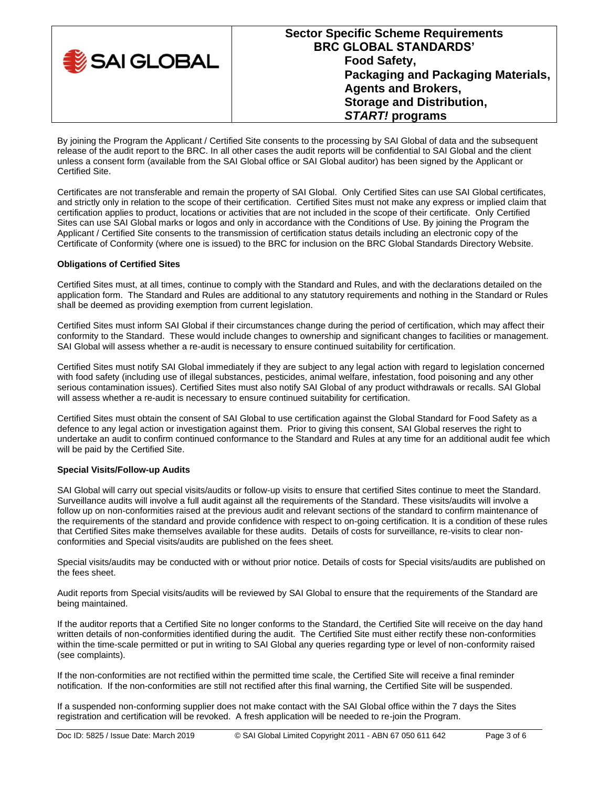| SAI GLOBAL | <b>Sector Specific Scheme Requirements</b><br><b>BRC GLOBAL STANDARDS'</b><br><b>Food Safety,</b><br>Packaging and Packaging Materials,<br><b>Agents and Brokers,</b><br><b>Storage and Distribution,</b><br><b>START!</b> programs |
|------------|-------------------------------------------------------------------------------------------------------------------------------------------------------------------------------------------------------------------------------------|
|------------|-------------------------------------------------------------------------------------------------------------------------------------------------------------------------------------------------------------------------------------|

By joining the Program the Applicant / Certified Site consents to the processing by SAI Global of data and the subsequent release of the audit report to the BRC. In all other cases the audit reports will be confidential to SAI Global and the client unless a consent form (available from the SAI Global office or SAI Global auditor) has been signed by the Applicant or Certified Site.

Certificates are not transferable and remain the property of SAI Global. Only Certified Sites can use SAI Global certificates, and strictly only in relation to the scope of their certification. Certified Sites must not make any express or implied claim that certification applies to product, locations or activities that are not included in the scope of their certificate. Only Certified Sites can use SAI Global marks or logos and only in accordance with the Conditions of Use. By joining the Program the Applicant / Certified Site consents to the transmission of certification status details including an electronic copy of the Certificate of Conformity (where one is issued) to the BRC for inclusion on the BRC Global Standards Directory Website.

## **Obligations of Certified Sites**

Certified Sites must, at all times, continue to comply with the Standard and Rules, and with the declarations detailed on the application form. The Standard and Rules are additional to any statutory requirements and nothing in the Standard or Rules shall be deemed as providing exemption from current legislation.

Certified Sites must inform SAI Global if their circumstances change during the period of certification, which may affect their conformity to the Standard. These would include changes to ownership and significant changes to facilities or management. SAI Global will assess whether a re-audit is necessary to ensure continued suitability for certification.

Certified Sites must notify SAI Global immediately if they are subject to any legal action with regard to legislation concerned with food safety (including use of illegal substances, pesticides, animal welfare, infestation, food poisoning and any other serious contamination issues). Certified Sites must also notify SAI Global of any product withdrawals or recalls. SAI Global will assess whether a re-audit is necessary to ensure continued suitability for certification.

Certified Sites must obtain the consent of SAI Global to use certification against the Global Standard for Food Safety as a defence to any legal action or investigation against them. Prior to giving this consent, SAI Global reserves the right to undertake an audit to confirm continued conformance to the Standard and Rules at any time for an additional audit fee which will be paid by the Certified Site.

# **Special Visits/Follow-up Audits**

SAI Global will carry out special visits/audits or follow-up visits to ensure that certified Sites continue to meet the Standard. Surveillance audits will involve a full audit against all the requirements of the Standard. These visits/audits will involve a follow up on non-conformities raised at the previous audit and relevant sections of the standard to confirm maintenance of the requirements of the standard and provide confidence with respect to on-going certification. It is a condition of these rules that Certified Sites make themselves available for these audits. Details of costs for surveillance, re-visits to clear nonconformities and Special visits/audits are published on the fees sheet.

Special visits/audits may be conducted with or without prior notice. Details of costs for Special visits/audits are published on the fees sheet.

Audit reports from Special visits/audits will be reviewed by SAI Global to ensure that the requirements of the Standard are being maintained.

If the auditor reports that a Certified Site no longer conforms to the Standard, the Certified Site will receive on the day hand written details of non-conformities identified during the audit. The Certified Site must either rectify these non-conformities within the time-scale permitted or put in writing to SAI Global any queries regarding type or level of non-conformity raised (see complaints).

If the non-conformities are not rectified within the permitted time scale, the Certified Site will receive a final reminder notification. If the non-conformities are still not rectified after this final warning, the Certified Site will be suspended.

If a suspended non-conforming supplier does not make contact with the SAI Global office within the 7 days the Sites registration and certification will be revoked. A fresh application will be needed to re-join the Program.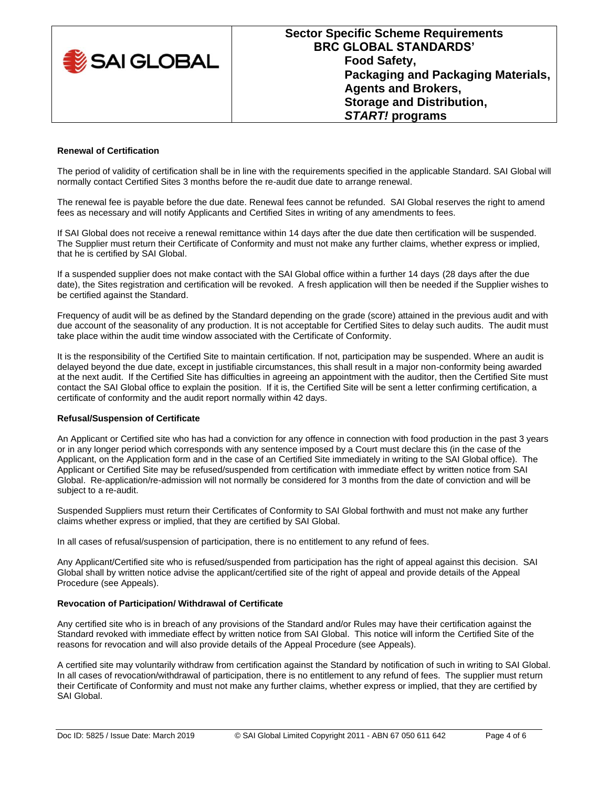

#### **Renewal of Certification**

The period of validity of certification shall be in line with the requirements specified in the applicable Standard. SAI Global will normally contact Certified Sites 3 months before the re-audit due date to arrange renewal.

The renewal fee is payable before the due date. Renewal fees cannot be refunded. SAI Global reserves the right to amend fees as necessary and will notify Applicants and Certified Sites in writing of any amendments to fees.

If SAI Global does not receive a renewal remittance within 14 days after the due date then certification will be suspended. The Supplier must return their Certificate of Conformity and must not make any further claims, whether express or implied, that he is certified by SAI Global.

If a suspended supplier does not make contact with the SAI Global office within a further 14 days (28 days after the due date), the Sites registration and certification will be revoked. A fresh application will then be needed if the Supplier wishes to be certified against the Standard.

Frequency of audit will be as defined by the Standard depending on the grade (score) attained in the previous audit and with due account of the seasonality of any production. It is not acceptable for Certified Sites to delay such audits. The audit must take place within the audit time window associated with the Certificate of Conformity.

It is the responsibility of the Certified Site to maintain certification. If not, participation may be suspended. Where an audit is delayed beyond the due date, except in justifiable circumstances, this shall result in a major non-conformity being awarded at the next audit. If the Certified Site has difficulties in agreeing an appointment with the auditor, then the Certified Site must contact the SAI Global office to explain the position. If it is, the Certified Site will be sent a letter confirming certification, a certificate of conformity and the audit report normally within 42 days.

#### **Refusal/Suspension of Certificate**

An Applicant or Certified site who has had a conviction for any offence in connection with food production in the past 3 years or in any longer period which corresponds with any sentence imposed by a Court must declare this (in the case of the Applicant, on the Application form and in the case of an Certified Site immediately in writing to the SAI Global office). The Applicant or Certified Site may be refused/suspended from certification with immediate effect by written notice from SAI Global. Re-application/re-admission will not normally be considered for 3 months from the date of conviction and will be subject to a re-audit.

Suspended Suppliers must return their Certificates of Conformity to SAI Global forthwith and must not make any further claims whether express or implied, that they are certified by SAI Global.

In all cases of refusal/suspension of participation, there is no entitlement to any refund of fees.

Any Applicant/Certified site who is refused/suspended from participation has the right of appeal against this decision. SAI Global shall by written notice advise the applicant/certified site of the right of appeal and provide details of the Appeal Procedure (see Appeals).

## **Revocation of Participation/ Withdrawal of Certificate**

Any certified site who is in breach of any provisions of the Standard and/or Rules may have their certification against the Standard revoked with immediate effect by written notice from SAI Global. This notice will inform the Certified Site of the reasons for revocation and will also provide details of the Appeal Procedure (see Appeals).

A certified site may voluntarily withdraw from certification against the Standard by notification of such in writing to SAI Global. In all cases of revocation/withdrawal of participation, there is no entitlement to any refund of fees. The supplier must return their Certificate of Conformity and must not make any further claims, whether express or implied, that they are certified by SAI Global.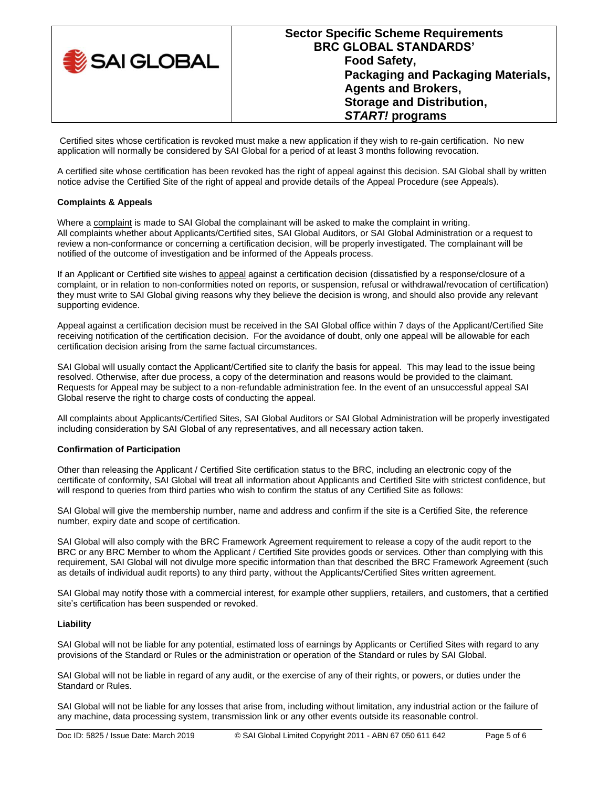| SAI GLOBAL | <b>Sector Specific Scheme Requirements</b><br><b>BRC GLOBAL STANDARDS'</b><br><b>Food Safety,</b><br>Packaging and Packaging Materials,<br><b>Agents and Brokers,</b><br><b>Storage and Distribution,</b><br><b>START!</b> programs |
|------------|-------------------------------------------------------------------------------------------------------------------------------------------------------------------------------------------------------------------------------------|
|------------|-------------------------------------------------------------------------------------------------------------------------------------------------------------------------------------------------------------------------------------|

Certified sites whose certification is revoked must make a new application if they wish to re-gain certification. No new application will normally be considered by SAI Global for a period of at least 3 months following revocation.

A certified site whose certification has been revoked has the right of appeal against this decision. SAI Global shall by written notice advise the Certified Site of the right of appeal and provide details of the Appeal Procedure (see Appeals).

## **Complaints & Appeals**

Where a complaint is made to SAI Global the complainant will be asked to make the complaint in writing. All complaints whether about Applicants/Certified sites, SAI Global Auditors, or SAI Global Administration or a request to review a non-conformance or concerning a certification decision, will be properly investigated. The complainant will be notified of the outcome of investigation and be informed of the Appeals process.

If an Applicant or Certified site wishes to appeal against a certification decision (dissatisfied by a response/closure of a complaint, or in relation to non-conformities noted on reports, or suspension, refusal or withdrawal/revocation of certification) they must write to SAI Global giving reasons why they believe the decision is wrong, and should also provide any relevant supporting evidence.

Appeal against a certification decision must be received in the SAI Global office within 7 days of the Applicant/Certified Site receiving notification of the certification decision. For the avoidance of doubt, only one appeal will be allowable for each certification decision arising from the same factual circumstances.

SAI Global will usually contact the Applicant/Certified site to clarify the basis for appeal. This may lead to the issue being resolved. Otherwise, after due process, a copy of the determination and reasons would be provided to the claimant. Requests for Appeal may be subject to a non-refundable administration fee. In the event of an unsuccessful appeal SAI Global reserve the right to charge costs of conducting the appeal.

All complaints about Applicants/Certified Sites, SAI Global Auditors or SAI Global Administration will be properly investigated including consideration by SAI Global of any representatives, and all necessary action taken.

## **Confirmation of Participation**

Other than releasing the Applicant / Certified Site certification status to the BRC, including an electronic copy of the certificate of conformity, SAI Global will treat all information about Applicants and Certified Site with strictest confidence, but will respond to queries from third parties who wish to confirm the status of any Certified Site as follows:

SAI Global will give the membership number, name and address and confirm if the site is a Certified Site, the reference number, expiry date and scope of certification.

SAI Global will also comply with the BRC Framework Agreement requirement to release a copy of the audit report to the BRC or any BRC Member to whom the Applicant / Certified Site provides goods or services. Other than complying with this requirement, SAI Global will not divulge more specific information than that described the BRC Framework Agreement (such as details of individual audit reports) to any third party, without the Applicants/Certified Sites written agreement.

SAI Global may notify those with a commercial interest, for example other suppliers, retailers, and customers, that a certified site's certification has been suspended or revoked.

## **Liability**

SAI Global will not be liable for any potential, estimated loss of earnings by Applicants or Certified Sites with regard to any provisions of the Standard or Rules or the administration or operation of the Standard or rules by SAI Global.

SAI Global will not be liable in regard of any audit, or the exercise of any of their rights, or powers, or duties under the Standard or Rules.

SAI Global will not be liable for any losses that arise from, including without limitation, any industrial action or the failure of any machine, data processing system, transmission link or any other events outside its reasonable control.